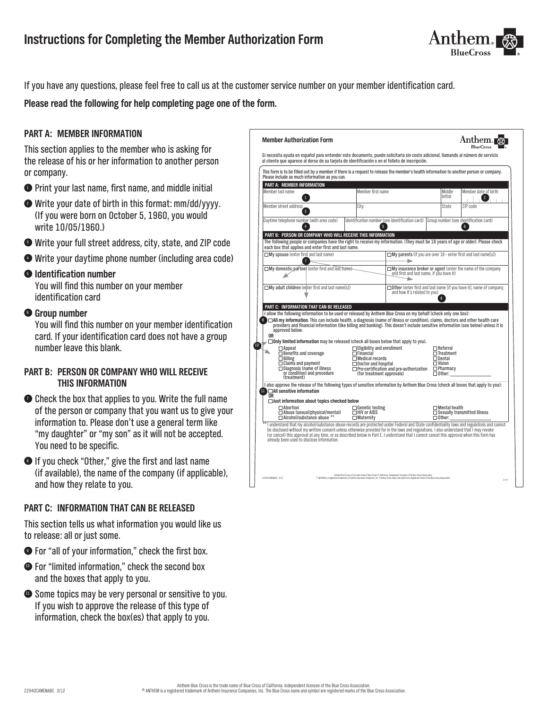

If you have any questions, please feel free to call us at the customer service number on your member identification card.

**Please read the following for help completing page one of the form.**

## **Part A: Member Information**

This section applies to the member who is asking for the release of his or her information to another person or company.

- <sup>1</sup> Print your last name, first name, and middle initial
- <sup>2</sup> Write your date of birth in this format: mm/dd/yyyy. (If you were born on October 5, 1960, you would write 10/05/1960.)
- <sup>3</sup> Write your full street address, city, state, and ZIP code
- <sup>4</sup> Write your daytime phone number (including area code)

### <sup>5</sup> **Identification number**

You will find this number on your member identification card

### <sup>6</sup> **Group number**

You will find this number on your member identification card. If your identification card does not have a group number leave this blank.

### **Part B: Person or company who will receive this information**

- **Check the box that applies to you. Write the full name** of the person or company that you want us to give your information to. Please don't use a general term like "my daughter" or "my son" as it will not be accepted. You need to be specific.
- <sup>8</sup> If you check "Other," give the first and last name (if available), the name of the company (if applicable), and how they relate to you.

### **Part C: Information that can be released**

This section tells us what information you would like us to release: all or just some.

- <sup>9</sup> For "all of your information," check the first box.
- $\bullet$  For "limited information," check the second box and the boxes that apply to you.
- $\bullet$  Some topics may be very personal or sensitive to you. If you wish to approve the release of this type of information, check the box(es) that apply to you.

| Si necesita ayuda en español para entender este documento, puede solicitarla sin costo adicional, llamando al número de servicio                                                                                                                                                                                                                                                                                                                                                 |                                                 |                                                                     |                                                                                                                |                                                   |                                                                       |
|----------------------------------------------------------------------------------------------------------------------------------------------------------------------------------------------------------------------------------------------------------------------------------------------------------------------------------------------------------------------------------------------------------------------------------------------------------------------------------|-------------------------------------------------|---------------------------------------------------------------------|----------------------------------------------------------------------------------------------------------------|---------------------------------------------------|-----------------------------------------------------------------------|
| al cliente que aparece al dorso de su tarieta de identificación o en el folleto de inscripción.                                                                                                                                                                                                                                                                                                                                                                                  |                                                 |                                                                     |                                                                                                                |                                                   |                                                                       |
| This form is to be filled out by a member if there is a request to release the member's health information to another person or company.<br>Please include as much information as you can.                                                                                                                                                                                                                                                                                       |                                                 |                                                                     |                                                                                                                |                                                   |                                                                       |
| PART A: MEMBER INFORMATION                                                                                                                                                                                                                                                                                                                                                                                                                                                       |                                                 |                                                                     |                                                                                                                |                                                   |                                                                       |
| Member last name                                                                                                                                                                                                                                                                                                                                                                                                                                                                 |                                                 | Member first name                                                   |                                                                                                                | Middle<br>initial                                 | Member date of birth<br>$\overline{2}$                                |
| Member street address                                                                                                                                                                                                                                                                                                                                                                                                                                                            |                                                 | City                                                                |                                                                                                                | State                                             | ZIP code                                                              |
| Daytime telephone number (with area code)<br>ā                                                                                                                                                                                                                                                                                                                                                                                                                                   |                                                 | 5                                                                   | Identification number (see identification card)                                                                |                                                   | Group number (see identification card)<br>6                           |
| PART B: PERSON OR COMPANY WHO WILL RECEIVE THIS INFORMATION                                                                                                                                                                                                                                                                                                                                                                                                                      |                                                 |                                                                     |                                                                                                                |                                                   |                                                                       |
| The following people or companies have the right to receive my information. (They must be 18 years of age or older). Please check<br>each box that applies and enter first and last name.                                                                                                                                                                                                                                                                                        |                                                 |                                                                     |                                                                                                                |                                                   |                                                                       |
| $\Box$ My spouse (enter first and last name)                                                                                                                                                                                                                                                                                                                                                                                                                                     |                                                 |                                                                     |                                                                                                                |                                                   | $\Box$ My parents (if you are over 18 - enter first and last name[s]) |
|                                                                                                                                                                                                                                                                                                                                                                                                                                                                                  | My domestic partner (enter first and last name) |                                                                     | $\Box$ My insurance broker or agent (enter the name of the company<br>and first and last name, if you have it) |                                                   |                                                                       |
| $\Box$ My adult children (enter first and last name[s])                                                                                                                                                                                                                                                                                                                                                                                                                          |                                                 |                                                                     | $\Box$ Other (enter first and last name [if you have it], name of company,<br>and how it's related to you)     |                                                   |                                                                       |
|                                                                                                                                                                                                                                                                                                                                                                                                                                                                                  |                                                 |                                                                     |                                                                                                                |                                                   |                                                                       |
|                                                                                                                                                                                                                                                                                                                                                                                                                                                                                  |                                                 |                                                                     |                                                                                                                |                                                   |                                                                       |
| PART C: INFORMATION THAT CAN BE RELEASED                                                                                                                                                                                                                                                                                                                                                                                                                                         |                                                 |                                                                     |                                                                                                                |                                                   |                                                                       |
| I allow the following information to be used or released by Anthem Blue Cross on my behalf (check only one box):<br>$\square$ All my information. This can include health, a diagnosis (name of illness or condition), claims, doctors and other health care<br>9<br>providers and financial information (like billing and banking). This doesn't include sensitive information (see below) unless it is<br>approved below.<br>0R                                                |                                                 |                                                                     |                                                                                                                |                                                   |                                                                       |
| $\Box$ Only limited information may be released (check all boxes below that apply to you).                                                                                                                                                                                                                                                                                                                                                                                       |                                                 |                                                                     |                                                                                                                |                                                   |                                                                       |
| $\Box$ Appeal<br>$\Box$ Benefits and coverage                                                                                                                                                                                                                                                                                                                                                                                                                                    |                                                 | $\Box$ Eligibility and enrollment<br>$\Box$ Financial               |                                                                                                                | $\Box$ Referral<br>$\Box$ Treatment               |                                                                       |
| $\Box$ Billing                                                                                                                                                                                                                                                                                                                                                                                                                                                                   |                                                 | $\Box$ Medical records                                              |                                                                                                                | $\Box$ Dental                                     |                                                                       |
| $\Box$ Claims and payment<br>$\Box$ Diagnosis (name of illness<br>or condition) and procedure                                                                                                                                                                                                                                                                                                                                                                                    |                                                 | $\Box$ Doctor and hospital<br>(for treatment approvals)             | $\Box$ Pre-certification and pre-authorization                                                                 | $\Box$ Vision<br>$\Box$ Pharmacy<br>$\Box$ Other: |                                                                       |
| (treatment)<br>I also approve the release of the following types of sensitive information by Anthem Blue Cross (check all boxes that apply to you):<br>$\blacksquare$ All sensitive information                                                                                                                                                                                                                                                                                  |                                                 |                                                                     |                                                                                                                |                                                   |                                                                       |
| 0R<br>$\Box$ Just information about topics checked below                                                                                                                                                                                                                                                                                                                                                                                                                         |                                                 |                                                                     |                                                                                                                |                                                   |                                                                       |
| $\Box$ Abortion<br>$\Box$ Abuse (sexual/physical/mental)<br>□ Alcohol/substance abuse *                                                                                                                                                                                                                                                                                                                                                                                          |                                                 | $\square$ Genetic testing<br>$\Box$ HIV or AIDS<br>$\Box$ Maternity |                                                                                                                | $\square$ Mental health<br>$\Box$ Other:          | $\Box$ Sexually transmitted illness                                   |
| I understand that my alcohol/substance abuse records are protected under Federal and State confidentiality laws and regulations and cannot<br>be disclosed without my written consent unless otherwise provided for in the laws and regulations. I also understand that I may revoke<br>(or cancel) this approval at any time, or as described below in Part E. I understand that I cannot cancel this approval when this form has<br>already been used to disclose information. |                                                 |                                                                     |                                                                                                                |                                                   |                                                                       |
|                                                                                                                                                                                                                                                                                                                                                                                                                                                                                  |                                                 |                                                                     |                                                                                                                |                                                   |                                                                       |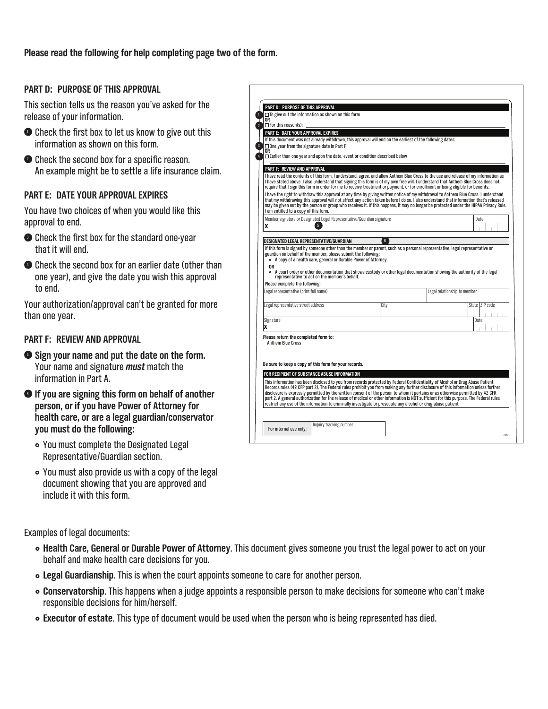**Please read the following for help completing page two of the form.**

## **Part D: Purpose of this approval**

This section tells us the reason you've asked for the release of your information.

- $\bullet$  Check the first box to let us know to give out this information as shown on this form.
- **<sup>3</sup>** Check the second box for a specific reason. An example might be to settle a life insurance claim.

### **Part E: Date your approval expires**

You have two choices of when you would like this approval to end.

- $\bullet$  Check the first box for the standard one-year that it will end.
- $\bullet$  Check the second box for an earlier date (other than one year), and give the date you wish this approval to end.

Your authorization/approval can't be granted for more than one year.

## **Part F: Review and approval**

- <sup>5</sup> **Sign your name and put the date on the form.**  Your name and signature *must* match the information in Part A.
- <sup>6</sup> **If you are signing this form on behalf of another person, or if you have Power of Attorney for health care, or are a legal guardian/conservator you must do the following:**
	- You must complete the Designated Legal Representative/Guardian section.
	- } You must also provide us with a copy of the legal document showing that you are approved and include it with this form.

**PArT d: PurPOse OF ThIs APPrOvAl**  $\Box$  To give out the information as shown on this form<br>OR<br>○ For this reason(s): **PArT e: dATe yOur APPrOvAl exPIres** If this document was not already withdrawn, this approval will end on the earliest of the following dates One year from the signature date in Part F **OR**<br>□Earlier than one year and upon the date, event or condition described below **PArT F: revIeW And APPrOvAl** l have read the contents of this form. I understand, agree, and allow Anthem Blue Cross to the use and release of my information as<br>I have stated above. I also understand that signing this form is of my own free will. I un l have the right to withdraw this approval at any time by giving written notice of my withdrawal to Anthem Blue Cross. I understand<br>that my withdrawing this approval will not affect any action taken before I do so. I also Member signature or Designated Legal Representative/Guardian signature X Date **desIGnATed leGAl rePresenTATIve/GuArdIAn** If this form is signed by someone other than the member or parent, such as a personal representative, legal representative or guardian on behalf of the member, please submit the following: • A copy of a health care, general or Durable Power of Attorney **Or** } A court order or other documentation that shows custody or other legal documentation showing the authority of the legal representative to act on the member's behalf. Please complete the following: Legal representative (print full name) and the contract of the contract of the legal relationship to member Legal representative street address **City State 2** City State 2 State 2 State 2 State 2 State 3 State 3 State 3 State 3 State 3 State 3 State 3 State 3 State 3 State 3 State 3 State 3 State 3 State 3 State 3 State 3 State Signature X **Date Please return the completed form to:** Anthem Blue Cross **be sure to keep a copy of this form for your records. FOR RECIPIENT OF SUBSTANCE ABUSE INF** This information has been disclosed to you from records protected by Federal Confidentiality of Alcohol or Drug Abuse Patient<br>Records rules (42 CFP part 2). The Federal rules prohibit you from making any further disclosure part 2. A general authorization for the release of medical or other information is NOT sufficient for this purpose. The Federal rules<br>restrict any use of the information to criminally investigate or prosecute any alcohol o 1 2 3 4  $\bullet$ 

2 of 2

Examples of legal documents:

} **Health Care, General or Durable Power of Attorney**. This document gives someone you trust the legal power to act on your behalf and make health care decisions for you.

For internal use only:  $\left| \right|$  Inquiry tracking number

- } **Legal Guardianship**. This is when the court appoints someone to care for another person.
- } **Conservatorship**. This happens when a judge appoints a responsible person to make decisions for someone who can't make responsible decisions for him/herself.
- } **Executor of estate**. This type of document would be used when the person who is being represented has died.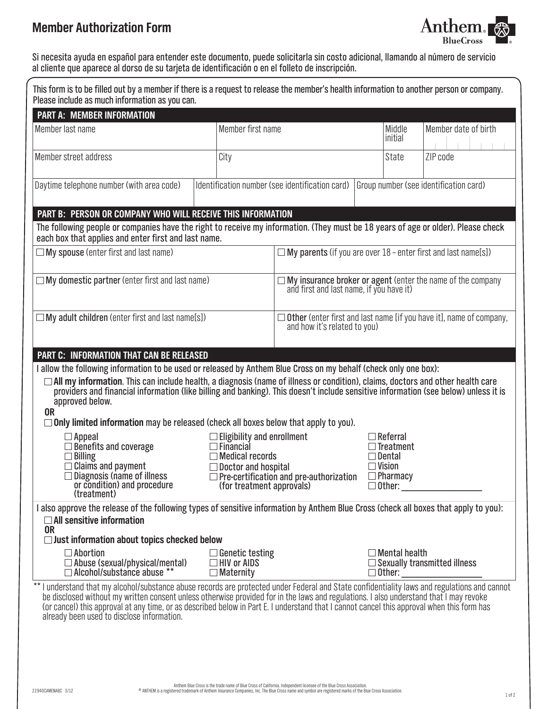# **Member Authorization Form**



Si necesita ayuda en español para entender este documento, puede solicitarla sin costo adicional, llamando al número de servicio al cliente que aparece al dorso de su tarjeta de identificación o en el folleto de inscripción.

| This form is to be filled out by a member if there is a request to release the member's health information to another person or company.<br>Please include as much information as you can.                                                                                                                                                                                                                                                                                                                                                                                                    |                                                                                                                                     |                                                                                                                |                                                                                                    |                                        |  |
|-----------------------------------------------------------------------------------------------------------------------------------------------------------------------------------------------------------------------------------------------------------------------------------------------------------------------------------------------------------------------------------------------------------------------------------------------------------------------------------------------------------------------------------------------------------------------------------------------|-------------------------------------------------------------------------------------------------------------------------------------|----------------------------------------------------------------------------------------------------------------|----------------------------------------------------------------------------------------------------|----------------------------------------|--|
| <b>PART A: MEMBER INFORMATION</b>                                                                                                                                                                                                                                                                                                                                                                                                                                                                                                                                                             |                                                                                                                                     |                                                                                                                |                                                                                                    |                                        |  |
| Member last name                                                                                                                                                                                                                                                                                                                                                                                                                                                                                                                                                                              | Member first name                                                                                                                   |                                                                                                                | Middle<br>initial                                                                                  | Member date of birth                   |  |
| Member street address                                                                                                                                                                                                                                                                                                                                                                                                                                                                                                                                                                         | City                                                                                                                                |                                                                                                                | <b>State</b>                                                                                       | ZIP code                               |  |
| Daytime telephone number (with area code)                                                                                                                                                                                                                                                                                                                                                                                                                                                                                                                                                     |                                                                                                                                     | Identification number (see identification card)                                                                |                                                                                                    | Group number (see identification card) |  |
| PART B: PERSON OR COMPANY WHO WILL RECEIVE THIS INFORMATION<br>The following people or companies have the right to receive my information. (They must be 18 years of age or older). Please check<br>each box that applies and enter first and last name.                                                                                                                                                                                                                                                                                                                                      |                                                                                                                                     |                                                                                                                |                                                                                                    |                                        |  |
| $\Box$ My spouse (enter first and last name)                                                                                                                                                                                                                                                                                                                                                                                                                                                                                                                                                  |                                                                                                                                     | $\Box$ My parents (if you are over $18$ - enter first and last name[s])                                        |                                                                                                    |                                        |  |
| $\Box$ My domestic partner (enter first and last name)                                                                                                                                                                                                                                                                                                                                                                                                                                                                                                                                        |                                                                                                                                     | $\square$ My insurance broker or agent (enter the name of the company and first and last name, if you have it) |                                                                                                    |                                        |  |
| $\Box$ My adult children (enter first and last name[s])                                                                                                                                                                                                                                                                                                                                                                                                                                                                                                                                       |                                                                                                                                     | $\Box$ Other (enter first and last name [if you have it], name of company,<br>and how it's related to you)     |                                                                                                    |                                        |  |
| <b>PART C: INFORMATION THAT CAN BE RELEASED</b>                                                                                                                                                                                                                                                                                                                                                                                                                                                                                                                                               |                                                                                                                                     |                                                                                                                |                                                                                                    |                                        |  |
| □ All my information. This can include health, a diagnosis (name of illness or condition), claims, doctors and other health care<br>providers and financial information (like billing and banking). This doesn't include sensitive information (see below) unless it is<br>approved below.<br><b>OR</b><br>$\Box$ Only limited information may be released (check all boxes below that apply to you).<br>$\Box$ Appeal<br>$\Box$ Benefits and coverage<br>$\Box$ Billing<br>$\sqsupset$ Claims and payment<br>$\Box$ Diagnosis (name of illness<br>or condition) and procedure<br>(treatment) | $\Box$ Eligibility and enrollment<br>$\Box$ Financial<br>$\Box$ Medical records<br>Doctor and hospital<br>(for treatment approvals) | $\Box$ Pre-certification and pre-authorization                                                                 | $\sqsupset$ Referral<br>Treatment<br>∃ Dental<br>$\Box$ Vision<br>$\Box$ Pharmacy<br>$\Box$ Other: |                                        |  |
| I also approve the release of the following types of sensitive information by Anthem Blue Cross (check all boxes that apply to you):<br>$\Box$ All sensitive information<br><b>OR</b><br>$\Box$ Just information about topics checked below<br>$\Box$ Abortion<br>$\Box$ Abuse (sexual/physical/mental)<br>$\Box$ Alcohol/substance abuse **                                                                                                                                                                                                                                                  | $\Box$ Genetic testing<br>$\Box$ HIV or AIDS<br>$\Box$ Maternity                                                                    |                                                                                                                | $\sqsupset$ Mental health<br>$\square$ Other:                                                      | $\Box$ Sexually transmitted illness    |  |
| I understand that my alcohol/substance abuse records are protected under Federal and State confidentiality laws and regulations and cannot<br>be disclosed without my written consent unless otherwise provided for in the laws and regulations. I also understand that I may revoke<br>(or cancel) this approval at any time, or as described below in Part E. I understand that I cannot cancel this approval when this form has<br>already been used to disclose information.                                                                                                              |                                                                                                                                     |                                                                                                                |                                                                                                    |                                        |  |
|                                                                                                                                                                                                                                                                                                                                                                                                                                                                                                                                                                                               | am Rlua Cross is tha trada nama of Rlua Cross of California. Indanandant licansaa of tha Rlua Cro                                   |                                                                                                                |                                                                                                    |                                        |  |